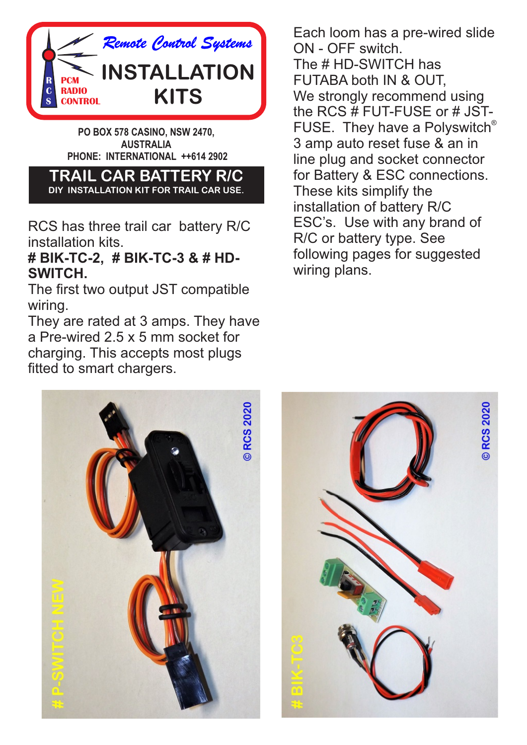

**PO BOX 578 CASINO, NSW 2470, AUSTRALIA PHONE: INTERNATIONAL ++614 2902** 

**TRAIL CAR BATTERY R/C DIY INSTALLATION KIT FOR TRAIL CAR USE.**

RCS has three trail car battery R/C installation kits.

#### **# BIK-TC-2, # BIK-TC-3 & # HD-SWITCH.**

The first two output JST compatible wiring.

They are rated at 3 amps. They have a Pre-wired 2.5 x 5 mm socket for charging. This accepts most plugs fitted to smart chargers.

Each loom has a pre-wired slide ON - OFF switch. The # HD-SWITCH has FUTABA both IN & OUT, We strongly recommend using the RCS # FUT-FUSE or # JST- FUSE. They have a Polyswitch<sup>®</sup> 3 amp auto reset fuse & an in line plug and socket connector for Battery & ESC connections. These kits simplify the installation of battery R/C ESC's. Use with any brand of R/C or battery type. See following pages for suggested wiring plans.



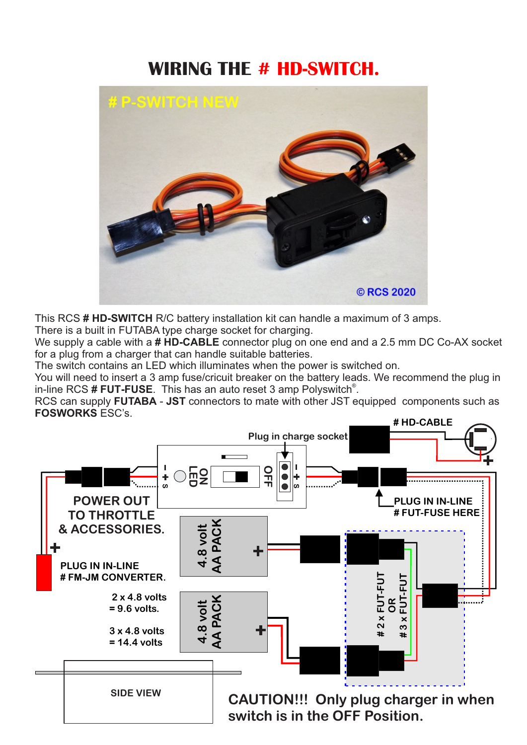## **WIRING THE # HD-SWITCH.**



This RCS **# HD-SWITCH** R/C battery installation kit can handle a maximum of 3 amps.

There is a built in FUTABA type charge socket for charging.

We supply a cable with a **# HD-CABLE** connector plug on one end and a 2.5 mm DC Co-AX socket for a plug from a charger that can handle suitable batteries.

The switch contains an LED which illuminates when the power is switched on.

You will need to insert a 3 amp fuse/cricuit breaker on the battery leads. We recommend the plug in in-line RCS **# FUT-FUSE**. This has an auto reset 3 amp Polyswitch<sup>®</sup>.

RCS can supply **FUTABA** - **JST** connectors to mate with other JST equipped components such as **FOSWORKS** ESC's.

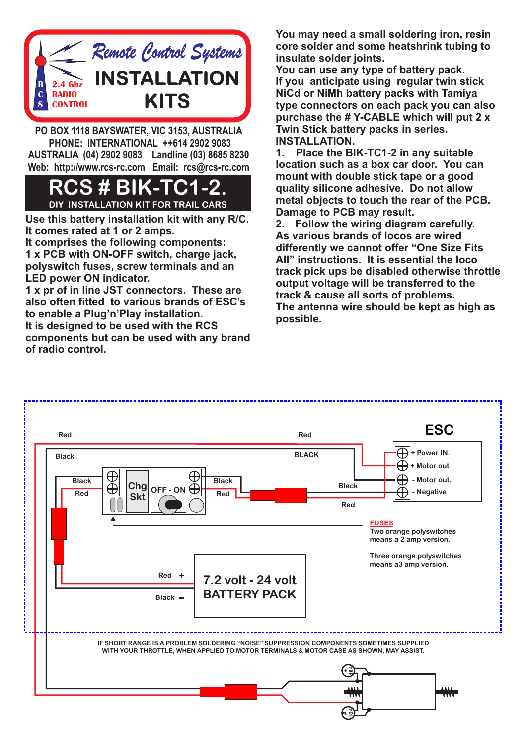

**PO BOX 1118 BAYSWATER, VIC 3153, AUSTRALIA PHONE: INTERNATIONAL ++614 2902 9083 AUSTRALIA (04) 2902 9083 Landline (03) 8685 8230 Web: http://www.rcs-rc.com Email: rcs@rcs-rc.com**

### **S#BIK-T DIY INSTALLATION KIT FOR TRAIL CARS**

**Use this battery installation kit with any R/C. It comes rated at 1 or 2 amps.**

**It comprises the following components: 1 x PCB with ON-OFF switch, charge jack, polyswitch fuses, screw terminals and an LED power ON indicator.**

**1 x pr of in line JST connectors. These are also often fitted to various brands of ESC's to enable a Plug'n'Play installation. It is designed to be used with the RCS components but can be used with any brand of radio control.** 

**You may need a small soldering iron, resin core solder and some heatshrink tubing to insulate solder joints.** 

**You can use any type of battery pack. If you anticipate using regular twin stick NiCd or NiMh battery packs with Tamiya type connectors on each pack you can also purchase the # Y-CABLE which will put 2 x Twin Stick battery packs in series. INSTALLATION.**

**1. Place the BIK-TC1-2 in any suitable location such as a box car door. You can mount with double stick tape or a good quality silicone adhesive. Do not allow metal objects to touch the rear of the PCB. Damage to PCB may result.**

**2. Follow the wiring diagram carefully. As various brands of locos are wired differently we cannot offer "One Size Fits All" instructions. It is essential the loco track pick ups be disabled otherwise throttle output voltage will be transferred to the track & cause all sorts of problems. The antenna wire should be kept as high as possible.**